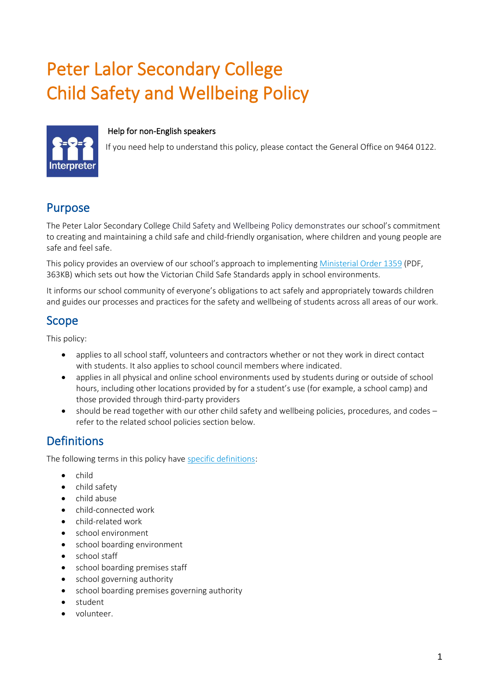# Peter Lalor Secondary College Child Safety and Wellbeing Policy

#### Help for non-English speakers



If you need help to understand this policy, please contact the General Office on 9464 0122.

### Purpose

The Peter Lalor Secondary College Child Safety and Wellbeing Policy demonstrates our school's commitment to creating and maintaining a child safe and child-friendly organisation, where children and young people are safe and feel safe.

This policy provides an overview of our school's approach to implementing [Ministerial Order 1359](https://www.education.vic.gov.au/Documents/about/programs/health/protect/Ministerial_Order.pdf) (PDF, 363KB) which sets out how the Victorian Child Safe Standards apply in school environments.

It informs our school community of everyone's obligations to act safely and appropriately towards children and guides our processes and practices for the safety and wellbeing of students across all areas of our work.

### Scope

This policy:

- applies to all school staff, volunteers and contractors whether or not they work in direct contact with students. It also applies to school council members where indicated.
- applies in all physical and online school environments used by students during or outside of school hours, including other locations provided by for a student's use (for example, a school camp) and those provided through third-party providers
- should be read together with our other child safety and wellbeing policies, procedures, and codes refer to the related school policies section below.

# **Definitions**

The following terms in this policy have [specific definitions:](https://www.vic.gov.au/child-safe-standards-definitions)

- child
- child safety
- child abuse
- child-connected work
- child-related work
- school environment
- school boarding environment
- school staff
- school boarding premises staff
- school governing authority
- school boarding premises governing authority
- student
- volunteer.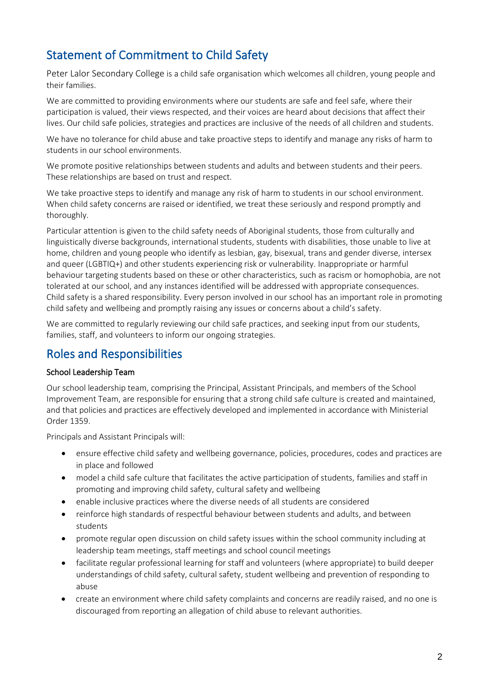# Statement of Commitment to Child Safety

Peter Lalor Secondary College is a child safe organisation which welcomes all children, young people and their families.

We are committed to providing environments where our students are safe and feel safe, where their participation is valued, their views respected, and their voices are heard about decisions that affect their lives. Our child safe policies, strategies and practices are inclusive of the needs of all children and students.

We have no tolerance for child abuse and take proactive steps to identify and manage any risks of harm to students in our school environments.

We promote positive relationships between students and adults and between students and their peers. These relationships are based on trust and respect.

We take proactive steps to identify and manage any risk of harm to students in our school environment. When child safety concerns are raised or identified, we treat these seriously and respond promptly and thoroughly.

Particular attention is given to the child safety needs of Aboriginal students, those from culturally and linguistically diverse backgrounds, international students, students with disabilities, those unable to live at home, children and young people who identify as lesbian, gay, bisexual, trans and gender diverse, intersex and queer (LGBTIQ+) and other students experiencing risk or vulnerability. Inappropriate or harmful behaviour targeting students based on these or other characteristics, such as racism or homophobia, are not tolerated at our school, and any instances identified will be addressed with appropriate consequences. Child safety is a shared responsibility. Every person involved in our school has an important role in promoting child safety and wellbeing and promptly raising any issues or concerns about a child's safety.

We are committed to regularly reviewing our child safe practices, and seeking input from our students, families, staff, and volunteers to inform our ongoing strategies.

### Roles and Responsibilities

#### School Leadership Team

Our school leadership team, comprising the Principal, Assistant Principals, and members of the School Improvement Team, are responsible for ensuring that a strong child safe culture is created and maintained, and that policies and practices are effectively developed and implemented in accordance with Ministerial Order 1359.

Principals and Assistant Principals will:

- ensure effective child safety and wellbeing governance, policies, procedures, codes and practices are in place and followed
- model a child safe culture that facilitates the active participation of students, families and staff in promoting and improving child safety, cultural safety and wellbeing
- enable inclusive practices where the diverse needs of all students are considered
- reinforce high standards of respectful behaviour between students and adults, and between students
- promote regular open discussion on child safety issues within the school community including at leadership team meetings, staff meetings and school council meetings
- facilitate regular professional learning for staff and volunteers (where appropriate) to build deeper understandings of child safety, cultural safety, student wellbeing and prevention of responding to abuse
- create an environment where child safety complaints and concerns are readily raised, and no one is discouraged from reporting an allegation of child abuse to relevant authorities.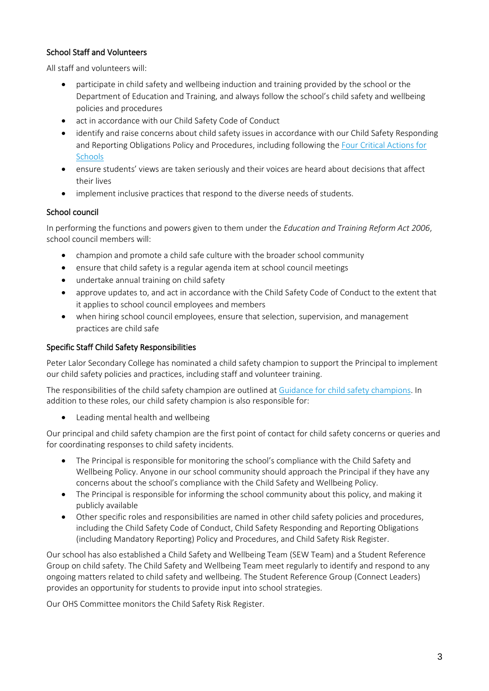#### School Staff and Volunteers

All staff and volunteers will:

- participate in child safety and wellbeing induction and training provided by the school or the Department of Education and Training, and always follow the school's child safety and wellbeing policies and procedures
- act in accordance with our Child Safety Code of Conduct
- identify and raise concerns about child safety issues in accordance with our Child Safety Responding and Reporting Obligations Policy and Procedures, including following th[e Four Critical Actions for](https://www.education.vic.gov.au/school/teachers/health/childprotection/Pages/report.aspx)  **[Schools](https://www.education.vic.gov.au/school/teachers/health/childprotection/Pages/report.aspx)**
- ensure students' views are taken seriously and their voices are heard about decisions that affect their lives
- implement inclusive practices that respond to the diverse needs of students.

#### School council

In performing the functions and powers given to them under the *Education and Training Reform Act 2006*, school council members will:

- champion and promote a child safe culture with the broader school community
- ensure that child safety is a regular agenda item at school council meetings
- undertake annual training on child safety
- approve updates to, and act in accordance with the Child Safety Code of Conduct to the extent that it applies to school council employees and members
- when hiring school council employees, ensure that selection, supervision, and management practices are child safe

#### Specific Staff Child Safety Responsibilities

Peter Lalor Secondary College has nominated a child safety champion to support the Principal to implement our child safety policies and practices, including staff and volunteer training.

The responsibilities of the child safety champion are outlined at [Guidance for child safety champions.](https://www.vic.gov.au/guidance-child-safety-champions) In addition to these roles, our child safety champion is also responsible for:

• Leading mental health and wellbeing

Our principal and child safety champion are the first point of contact for child safety concerns or queries and for coordinating responses to child safety incidents.

- The Principal is responsible for monitoring the school's compliance with the Child Safety and Wellbeing Policy. Anyone in our school community should approach the Principal if they have any concerns about the school's compliance with the Child Safety and Wellbeing Policy.
- The Principal is responsible for informing the school community about this policy, and making it publicly available
- Other specific roles and responsibilities are named in other child safety policies and procedures, including the Child Safety Code of Conduct, Child Safety Responding and Reporting Obligations (including Mandatory Reporting) Policy and Procedures, and Child Safety Risk Register.

Our school has also established a Child Safety and Wellbeing Team (SEW Team) and a Student Reference Group on child safety. The Child Safety and Wellbeing Team meet regularly to identify and respond to any ongoing matters related to child safety and wellbeing. The Student Reference Group (Connect Leaders) provides an opportunity for students to provide input into school strategies.

Our OHS Committee monitors the Child Safety Risk Register.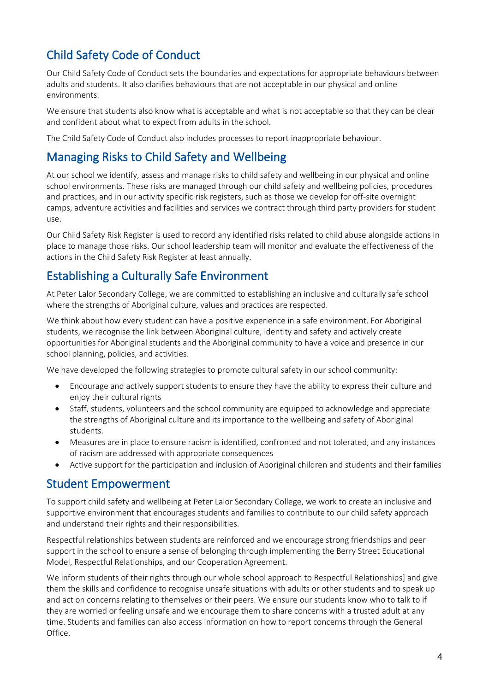# Child Safety Code of Conduct

Our Child Safety Code of Conduct sets the boundaries and expectations for appropriate behaviours between adults and students. It also clarifies behaviours that are not acceptable in our physical and online environments.

We ensure that students also know what is acceptable and what is not acceptable so that they can be clear and confident about what to expect from adults in the school.

The Child Safety Code of Conduct also includes processes to report inappropriate behaviour.

### Managing Risks to Child Safety and Wellbeing

At our school we identify, assess and manage risks to child safety and wellbeing in our physical and online school environments. These risks are managed through our child safety and wellbeing policies, procedures and practices, and in our activity specific risk registers, such as those we develop for off-site overnight camps, adventure activities and facilities and services we contract through third party providers for student use.

Our Child Safety Risk Register is used to record any identified risks related to child abuse alongside actions in place to manage those risks. Our school leadership team will monitor and evaluate the effectiveness of the actions in the Child Safety Risk Register at least annually.

# Establishing a Culturally Safe Environment

At Peter Lalor Secondary College, we are committed to establishing an inclusive and culturally safe school where the strengths of Aboriginal culture, values and practices are respected.

We think about how every student can have a positive experience in a safe environment. For Aboriginal students, we recognise the link between Aboriginal culture, identity and safety and actively create opportunities for Aboriginal students and the Aboriginal community to have a voice and presence in our school planning, policies, and activities.

We have developed the following strategies to promote cultural safety in our school community:

- Encourage and actively support students to ensure they have the ability to express their culture and enjoy their cultural rights
- Staff, students, volunteers and the school community are equipped to acknowledge and appreciate the strengths of Aboriginal culture and its importance to the wellbeing and safety of Aboriginal students.
- Measures are in place to ensure racism is identified, confronted and not tolerated, and any instances of racism are addressed with appropriate consequences
- Active support for the participation and inclusion of Aboriginal children and students and their families

### Student Empowerment

To support child safety and wellbeing at Peter Lalor Secondary College, we work to create an inclusive and supportive environment that encourages students and families to contribute to our child safety approach and understand their rights and their responsibilities.

Respectful relationships between students are reinforced and we encourage strong friendships and peer support in the school to ensure a sense of belonging through implementing the Berry Street Educational Model, Respectful Relationships, and our Cooperation Agreement.

We inform students of their rights through our whole school approach to Respectful Relationships] and give them the skills and confidence to recognise unsafe situations with adults or other students and to speak up and act on concerns relating to themselves or their peers. We ensure our students know who to talk to if they are worried or feeling unsafe and we encourage them to share concerns with a trusted adult at any time. Students and families can also access information on how to report concerns through the General Office.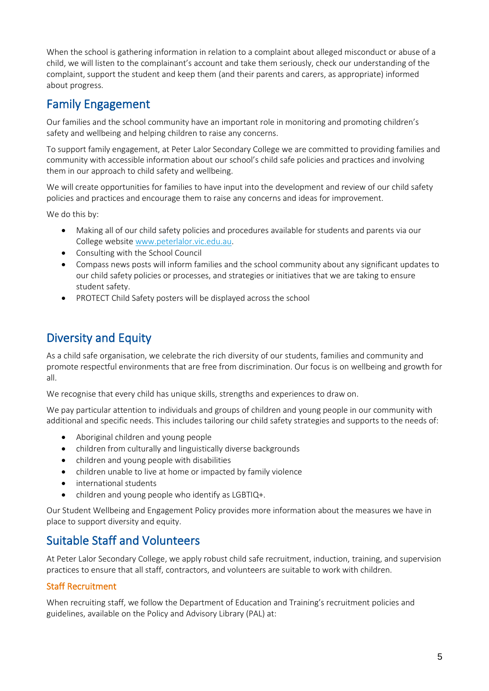When the school is gathering information in relation to a complaint about alleged misconduct or abuse of a child, we will listen to the complainant's account and take them seriously, check our understanding of the complaint, support the student and keep them (and their parents and carers, as appropriate) informed about progress.

### Family Engagement

Our families and the school community have an important role in monitoring and promoting children's safety and wellbeing and helping children to raise any concerns.

To support family engagement, at Peter Lalor Secondary College we are committed to providing families and community with accessible information about our school's child safe policies and practices and involving them in our approach to child safety and wellbeing.

We will create opportunities for families to have input into the development and review of our child safety policies and practices and encourage them to raise any concerns and ideas for improvement.

We do this by:

- Making all of our child safety policies and procedures available for students and parents via our College websit[e www.peterlalor.vic.edu.au.](http://www.peterlalor.vic.edu.au/)
- Consulting with the School Council
- Compass news posts will inform families and the school community about any significant updates to our child safety policies or processes, and strategies or initiatives that we are taking to ensure student safety.
- PROTECT Child Safety posters will be displayed across the school

# Diversity and Equity

As a child safe organisation, we celebrate the rich diversity of our students, families and community and promote respectful environments that are free from discrimination. Our focus is on wellbeing and growth for all.

We recognise that every child has unique skills, strengths and experiences to draw on.

We pay particular attention to individuals and groups of children and young people in our community with additional and specific needs. This includes tailoring our child safety strategies and supports to the needs of:

- Aboriginal children and young people
- children from culturally and linguistically diverse backgrounds
- children and young people with disabilities
- children unable to live at home or impacted by family violence
- international students
- children and young people who identify as LGBTIQ+.

Our Student Wellbeing and Engagement Policy provides more information about the measures we have in place to support diversity and equity.

# Suitable Staff and Volunteers

At Peter Lalor Secondary College, we apply robust child safe recruitment, induction, training, and supervision practices to ensure that all staff, contractors, and volunteers are suitable to work with children.

#### Staff Recruitment

When recruiting staff, we follow the Department of Education and Training's recruitment policies and guidelines, available on the Policy and Advisory Library (PAL) at: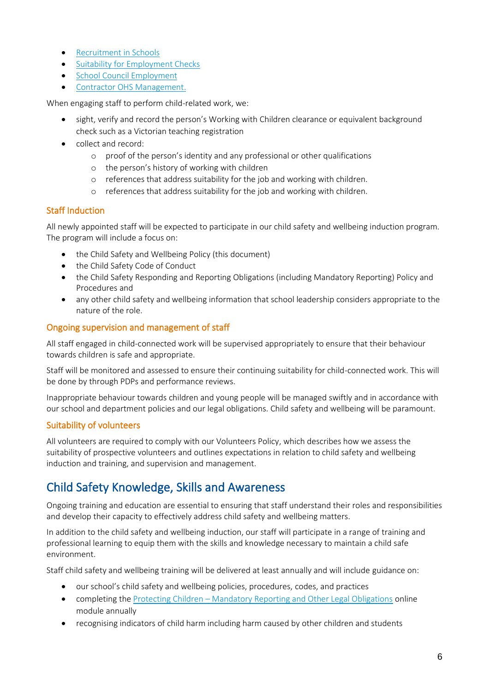- [Recruitment in Schools](https://www2.education.vic.gov.au/pal/recruitment-schools/overview)
- [Suitability for Employment Checks](https://www2.education.vic.gov.au/pal/suitability-employment-checks/overview)
- [School Council Employment](https://www2.education.vic.gov.au/pal/school-council-employment/overview)
- [Contractor OHS Management.](https://www2.education.vic.gov.au/pal/contractor-ohs-management/policy)

When engaging staff to perform child-related work, we:

- sight, verify and record the person's Working with Children clearance or equivalent background check such as a Victorian teaching registration
- collect and record:
	- o proof of the person's identity and any professional or other qualifications
	- o the person's history of working with children
	- o references that address suitability for the job and working with children.
	- o references that address suitability for the job and working with children.

#### Staff Induction

All newly appointed staff will be expected to participate in our child safety and wellbeing induction program. The program will include a focus on:

- the Child Safety and Wellbeing Policy (this document)
- the Child Safety Code of Conduct
- the Child Safety Responding and Reporting Obligations (including Mandatory Reporting) Policy and Procedures and
- any other child safety and wellbeing information that school leadership considers appropriate to the nature of the role.

#### Ongoing supervision and management of staff

All staff engaged in child-connected work will be supervised appropriately to ensure that their behaviour towards children is safe and appropriate.

Staff will be monitored and assessed to ensure their continuing suitability for child-connected work. This will be done by through PDPs and performance reviews.

Inappropriate behaviour towards children and young people will be managed swiftly and in accordance with our school and department policies and our legal obligations. Child safety and wellbeing will be paramount.

#### Suitability of volunteers

All volunteers are required to comply with our Volunteers Policy, which describes how we assess the suitability of prospective volunteers and outlines expectations in relation to child safety and wellbeing induction and training, and supervision and management.

# Child Safety Knowledge, Skills and Awareness

Ongoing training and education are essential to ensuring that staff understand their roles and responsibilities and develop their capacity to effectively address child safety and wellbeing matters.

In addition to the child safety and wellbeing induction, our staff will participate in a range of training and professional learning to equip them with the skills and knowledge necessary to maintain a child safe environment.

Staff child safety and wellbeing training will be delivered at least annually and will include guidance on:

- our school's child safety and wellbeing policies, procedures, codes, and practices
- completing the Protecting Children [Mandatory Reporting and Other Legal Obligations](http://elearn.com.au/det/protectingchildren/) online module annually
- recognising indicators of child harm including harm caused by other children and students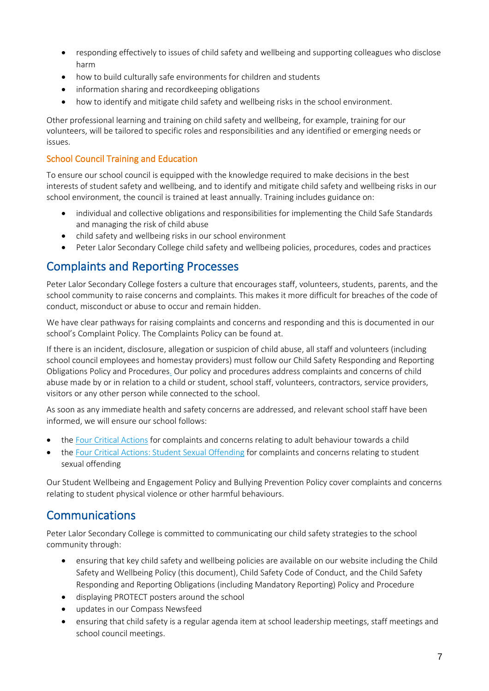- responding effectively to issues of child safety and wellbeing and supporting colleagues who disclose harm
- how to build culturally safe environments for children and students
- information sharing and recordkeeping obligations
- how to identify and mitigate child safety and wellbeing risks in the school environment.

Other professional learning and training on child safety and wellbeing, for example, training for our volunteers, will be tailored to specific roles and responsibilities and any identified or emerging needs or issues.

#### School Council Training and Education

To ensure our school council is equipped with the knowledge required to make decisions in the best interests of student safety and wellbeing, and to identify and mitigate child safety and wellbeing risks in our school environment, the council is trained at least annually. Training includes guidance on:

- individual and collective obligations and responsibilities for implementing the Child Safe Standards and managing the risk of child abuse
- child safety and wellbeing risks in our school environment
- Peter Lalor Secondary College child safety and wellbeing policies, procedures, codes and practices

# Complaints and Reporting Processes

Peter Lalor Secondary College fosters a culture that encourages staff, volunteers, students, parents, and the school community to raise concerns and complaints. This makes it more difficult for breaches of the code of conduct, misconduct or abuse to occur and remain hidden.

We have clear pathways for raising complaints and concerns and responding and this is documented in our school's Complaint Policy. The Complaints Policy can be found at.

If there is an incident, disclosure, allegation or suspicion of child abuse, all staff and volunteers (including school council employees and homestay providers) must follow our Child Safety Responding and Reporting Obligations Policy and Procedures. Our policy and procedures address complaints and concerns of child abuse made by or in relation to a child or student, school staff, volunteers, contractors, service providers, visitors or any other person while connected to the school.

As soon as any immediate health and safety concerns are addressed, and relevant school staff have been informed, we will ensure our school follows:

- the [Four Critical Actions](https://www.education.vic.gov.au/Documents/about/programs/health/protect/FourCriticalActions_ChildAbuse.pdf) for complaints and concerns relating to adult behaviour towards a child
- the [Four Critical Actions: Student Sexual Offending](https://www.education.vic.gov.au/school/teachers/health/childprotection/Pages/stusexual.aspx) for complaints and concerns relating to student sexual offending

Our Student Wellbeing and Engagement Policy and Bullying Prevention Policy cover complaints and concerns relating to student physical violence or other harmful behaviours.

# Communications

Peter Lalor Secondary College is committed to communicating our child safety strategies to the school community through:

- ensuring that key child safety and wellbeing policies are available on our website including the Child Safety and Wellbeing Policy (this document), Child Safety Code of Conduct, and the Child Safety Responding and Reporting Obligations (including Mandatory Reporting) Policy and Procedure
- displaying PROTECT posters around the school
- updates in our Compass Newsfeed
- ensuring that child safety is a regular agenda item at school leadership meetings, staff meetings and school council meetings.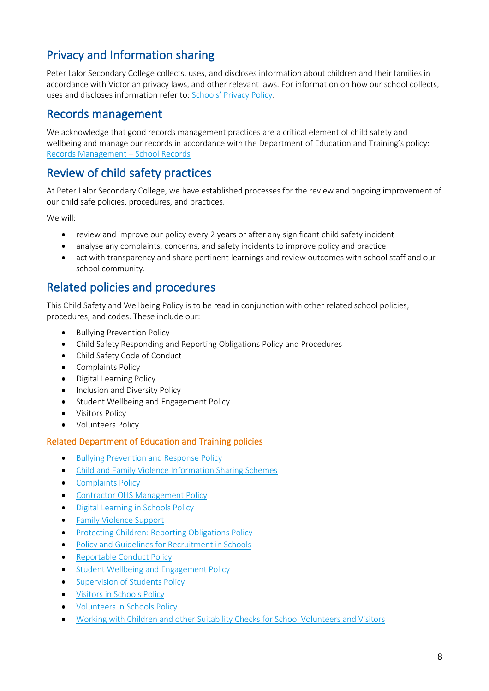# Privacy and Information sharing

Peter Lalor Secondary College collects, uses, and discloses information about children and their families in accordance with Victorian privacy laws, and other relevant laws. For information on how our school collects, uses and discloses information refer to: [Schools' Privacy Policy](https://www.education.vic.gov.au/Pages/schoolsprivacypolicy.aspx).

### Records management

We acknowledge that good records management practices are a critical element of child safety and wellbeing and manage our records in accordance with the Department of Education and Training's policy: [Records Management](https://www2.education.vic.gov.au/pal/records-management/policy) – School Records

### Review of child safety practices

At Peter Lalor Secondary College, we have established processes for the review and ongoing improvement of our child safe policies, procedures, and practices.

We will:

- review and improve our policy every 2 years or after any significant child safety incident
- analyse any complaints, concerns, and safety incidents to improve policy and practice
- act with transparency and share pertinent learnings and review outcomes with school staff and our school community.

### Related policies and procedures

This Child Safety and Wellbeing Policy is to be read in conjunction with other related school policies, procedures, and codes. These include our:

- Bullying Prevention Policy
- Child Safety Responding and Reporting Obligations Policy and Procedures
- Child Safety Code of Conduct
- Complaints Policy
- Digital Learning Policy
- Inclusion and Diversity Policy
- Student Wellbeing and Engagement Policy
- Visitors Policy
- Volunteers Policy

#### Related Department of Education and Training policies

- [Bullying Prevention and Response Policy](https://www2.education.vic.gov.au/pal/bullying-prevention-response/policy)
- [Child and Family Violence Information Sharing Schemes](https://www2.education.vic.gov.au/pal/information-sharing-schemes/policy)
- [Complaints Policy](https://www2.education.vic.gov.au/pal/complaints/policy)
- [Contractor OHS Management Policy](https://www2.education.vic.gov.au/pal/contractor-ohs-management/policy)
- [Digital Learning in Schools Policy](https://www2.education.vic.gov.au/pal/digital-learning/policy)
- [Family Violence Support](https://www2.education.vic.gov.au/pal/family-violence-support/policy)
- [Protecting Children: Reporting Obligations Policy](https://www2.education.vic.gov.au/pal/protecting-children/policy)
- [Policy and Guidelines for Recruitment in Schools](https://www2.education.vic.gov.au/pal/recruitment-schools/policy-and-guidelines)
- [Reportable Conduct Policy](https://www2.education.vic.gov.au/pal/reportable-conduct-scheme/policy)
- Student [Wellbeing and Engagement Policy](https://www2.education.vic.gov.au/pal/student-engagement/policy)
- [Supervision of Students Policy](https://www2.education.vic.gov.au/pal/supervision-students/policy)
- [Visitors in Schools Policy](https://www2.education.vic.gov.au/pal/visitors/policy)
- [Volunteers in Schools Policy](https://www2.education.vic.gov.au/pal/volunteers/policy)
- [Working with Children and other Suitability Checks for School Volunteers and Visitors](https://www2.education.vic.gov.au/pal/suitability-checks/policy)